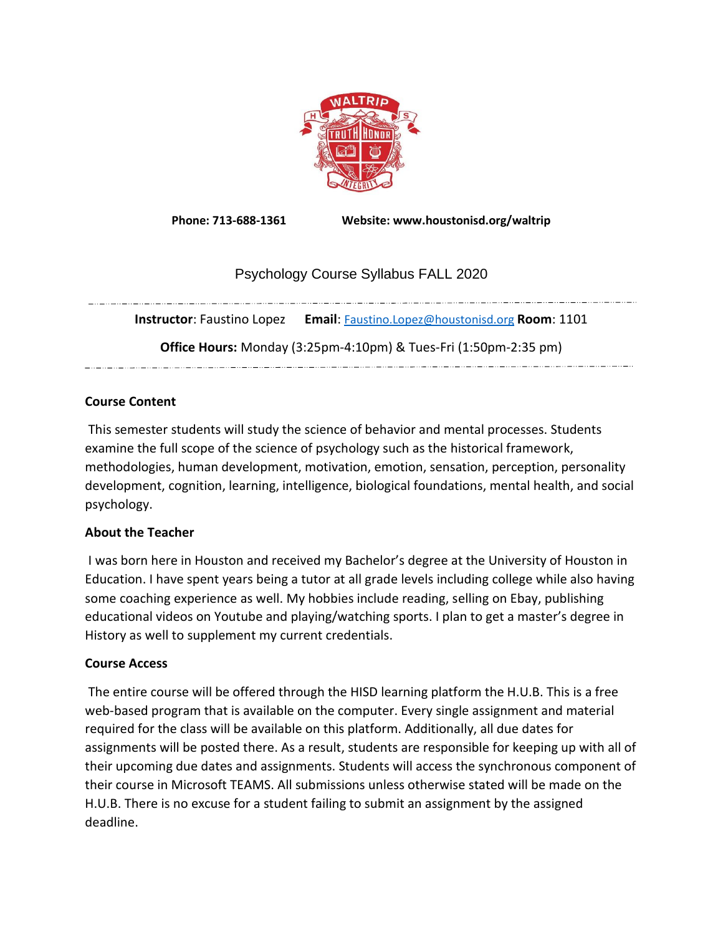

**Phone: 713-688-1361 Website: www.houstonisd.org/waltrip**

# Psychology Course Syllabus FALL 2020

**Instructor**: Faustino Lopez **Email**: [Faustino.Lopez@houstonisd.org](mailto:Faustino.Lopez@houstonisd.org) **Room**: 1101 **Office Hours:** Monday (3:25pm-4:10pm) & Tues-Fri (1:50pm-2:35 pm) a se de la construcción de la construcción de la construcción de la construcción de la construcción de la const

## **Course Content**

This semester students will study the science of behavior and mental processes. Students examine the full scope of the science of psychology such as the historical framework, methodologies, human development, motivation, emotion, sensation, perception, personality development, cognition, learning, intelligence, biological foundations, mental health, and social psychology.

## **About the Teacher**

I was born here in Houston and received my Bachelor's degree at the University of Houston in Education. I have spent years being a tutor at all grade levels including college while also having some coaching experience as well. My hobbies include reading, selling on Ebay, publishing educational videos on Youtube and playing/watching sports. I plan to get a master's degree in History as well to supplement my current credentials.

## **Course Access**

The entire course will be offered through the HISD learning platform the H.U.B. This is a free web-based program that is available on the computer. Every single assignment and material required for the class will be available on this platform. Additionally, all due dates for assignments will be posted there. As a result, students are responsible for keeping up with all of their upcoming due dates and assignments. Students will access the synchronous component of their course in Microsoft TEAMS. All submissions unless otherwise stated will be made on the H.U.B. There is no excuse for a student failing to submit an assignment by the assigned deadline.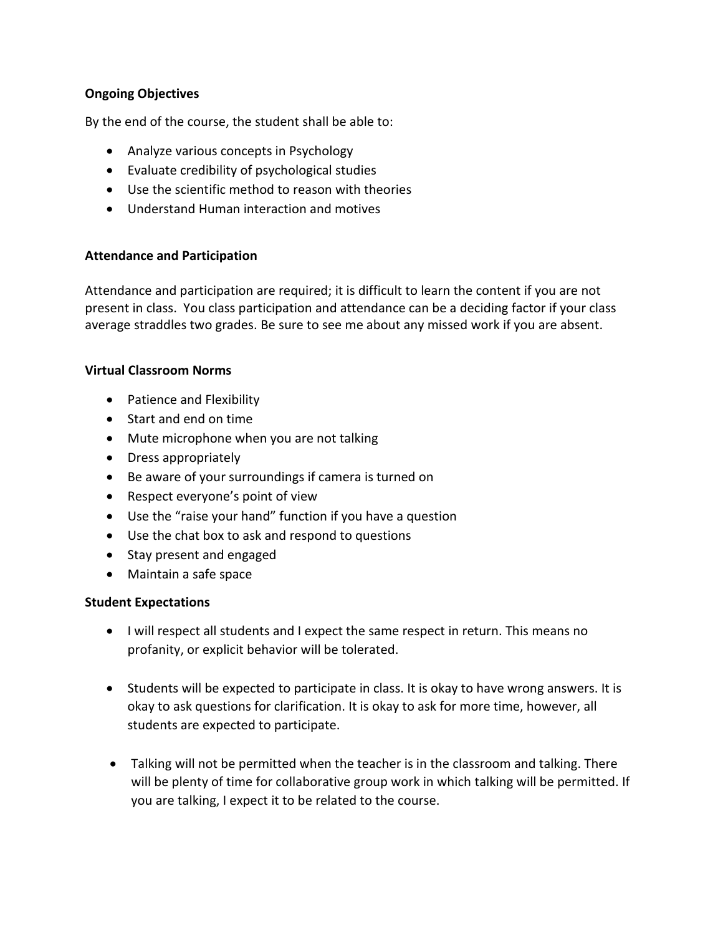## **Ongoing Objectives**

By the end of the course, the student shall be able to:

- Analyze various concepts in Psychology
- Evaluate credibility of psychological studies
- Use the scientific method to reason with theories
- Understand Human interaction and motives

## **Attendance and Participation**

Attendance and participation are required; it is difficult to learn the content if you are not present in class. You class participation and attendance can be a deciding factor if your class average straddles two grades. Be sure to see me about any missed work if you are absent.

## **Virtual Classroom Norms**

- Patience and Flexibility
- Start and end on time
- Mute microphone when you are not talking
- Dress appropriately
- Be aware of your surroundings if camera is turned on
- Respect everyone's point of view
- Use the "raise your hand" function if you have a question
- Use the chat box to ask and respond to questions
- Stay present and engaged
- Maintain a safe space

## **Student Expectations**

- I will respect all students and I expect the same respect in return. This means no profanity, or explicit behavior will be tolerated.
- Students will be expected to participate in class. It is okay to have wrong answers. It is okay to ask questions for clarification. It is okay to ask for more time, however, all students are expected to participate.
- Talking will not be permitted when the teacher is in the classroom and talking. There will be plenty of time for collaborative group work in which talking will be permitted. If you are talking, I expect it to be related to the course.